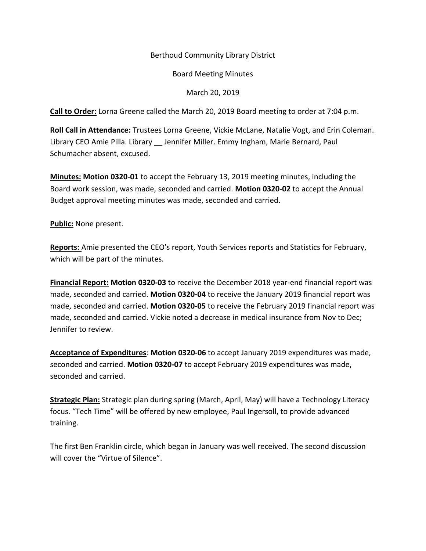# Berthoud Community Library District

# Board Meeting Minutes

# March 20, 2019

**Call to Order:** Lorna Greene called the March 20, 2019 Board meeting to order at 7:04 p.m.

**Roll Call in Attendance:** Trustees Lorna Greene, Vickie McLane, Natalie Vogt, and Erin Coleman. Library CEO Amie Pilla. Library \_\_ Jennifer Miller. Emmy Ingham, Marie Bernard, Paul Schumacher absent, excused.

**Minutes: Motion 0320-01** to accept the February 13, 2019 meeting minutes, including the Board work session, was made, seconded and carried. **Motion 0320-02** to accept the Annual Budget approval meeting minutes was made, seconded and carried.

**Public:** None present.

**Reports:** Amie presented the CEO's report, Youth Services reports and Statistics for February, which will be part of the minutes.

**Financial Report: Motion 0320-03** to receive the December 2018 year-end financial report was made, seconded and carried. **Motion 0320-04** to receive the January 2019 financial report was made, seconded and carried. **Motion 0320-05** to receive the February 2019 financial report was made, seconded and carried. Vickie noted a decrease in medical insurance from Nov to Dec; Jennifer to review.

**Acceptance of Expenditures**: **Motion 0320-06** to accept January 2019 expenditures was made, seconded and carried. **Motion 0320-07** to accept February 2019 expenditures was made, seconded and carried.

**Strategic Plan:** Strategic plan during spring (March, April, May) will have a Technology Literacy focus. "Tech Time" will be offered by new employee, Paul Ingersoll, to provide advanced training.

The first Ben Franklin circle, which began in January was well received. The second discussion will cover the "Virtue of Silence".